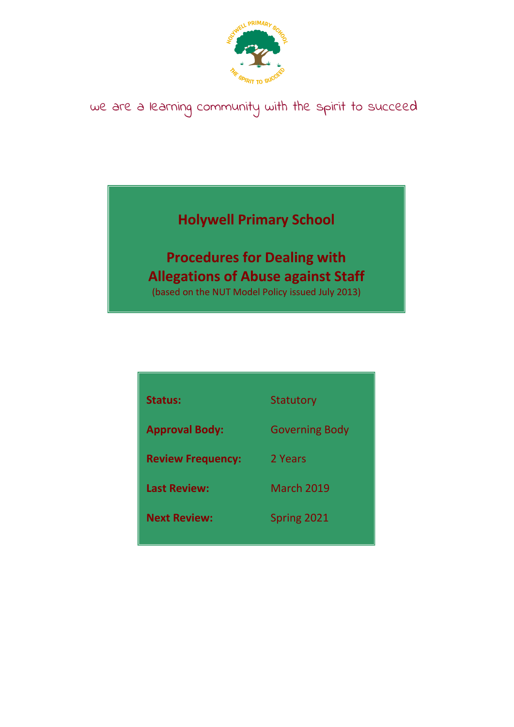

# we are a learning community with the spirit to succeed

# **Holywell Primary School**

# **Procedures for Dealing with Allegations of Abuse against Staff**

(based on the NUT Model Policy issued July 2013)

| <b>Status:</b>           | Statutory             |
|--------------------------|-----------------------|
| <b>Approval Body:</b>    | <b>Governing Body</b> |
| <b>Review Frequency:</b> | 2 Years               |
| <b>Last Review:</b>      | <b>March 2019</b>     |
| <b>Next Review:</b>      | Spring 2021           |
|                          |                       |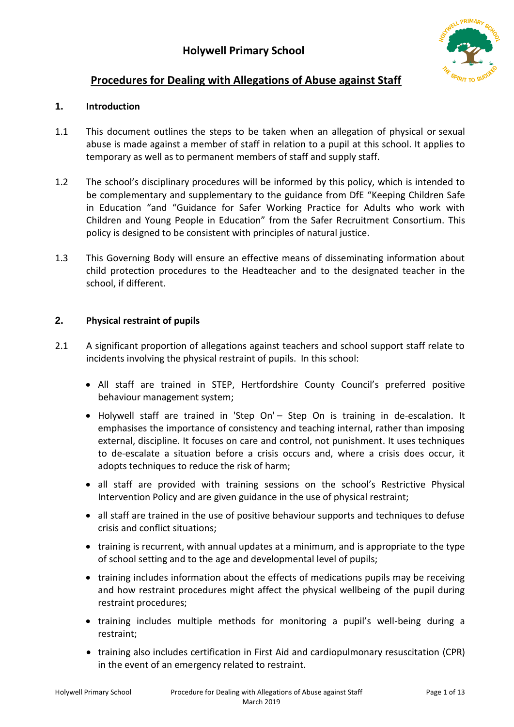

# **Procedures for Dealing with Allegations of Abuse against Staff**

## **1. Introduction**

- 1.1 This document outlines the steps to be taken when an allegation of physical or sexual abuse is made against a member of staff in relation to a pupil at this school. It applies to temporary as well as to permanent members of staff and supply staff.
- 1.2 The school's disciplinary procedures will be informed by this policy, which is intended to be complementary and supplementary to the guidance from DfE "Keeping Children Safe in Education "and "Guidance for Safer Working Practice for Adults who work with Children and Young People in Education" from the Safer Recruitment Consortium. This policy is designed to be consistent with principles of natural justice.
- 1.3 This Governing Body will ensure an effective means of disseminating information about child protection procedures to the Headteacher and to the designated teacher in the school, if different.

## **2. Physical restraint of pupils**

- 2.1 A significant proportion of allegations against teachers and school support staff relate to incidents involving the physical restraint of pupils. In this school:
	- All staff are trained in STEP, Hertfordshire County Council's preferred positive behaviour management system;
	- Holywell staff are trained in 'Step On' Step On is training in de-escalation. It emphasises the importance of consistency and teaching internal, rather than imposing external, discipline. It focuses on care and control, not punishment. It uses techniques to de-escalate a situation before a crisis occurs and, where a crisis does occur, it adopts techniques to reduce the risk of harm;
	- all staff are provided with training sessions on the school's Restrictive Physical Intervention Policy and are given guidance in the use of physical restraint;
	- all staff are trained in the use of positive behaviour supports and techniques to defuse crisis and conflict situations;
	- training is recurrent, with annual updates at a minimum, and is appropriate to the type of school setting and to the age and developmental level of pupils;
	- training includes information about the effects of medications pupils may be receiving and how restraint procedures might affect the physical wellbeing of the pupil during restraint procedures;
	- training includes multiple methods for monitoring a pupil's well-being during a restraint;
	- training also includes certification in First Aid and cardiopulmonary resuscitation (CPR) in the event of an emergency related to restraint.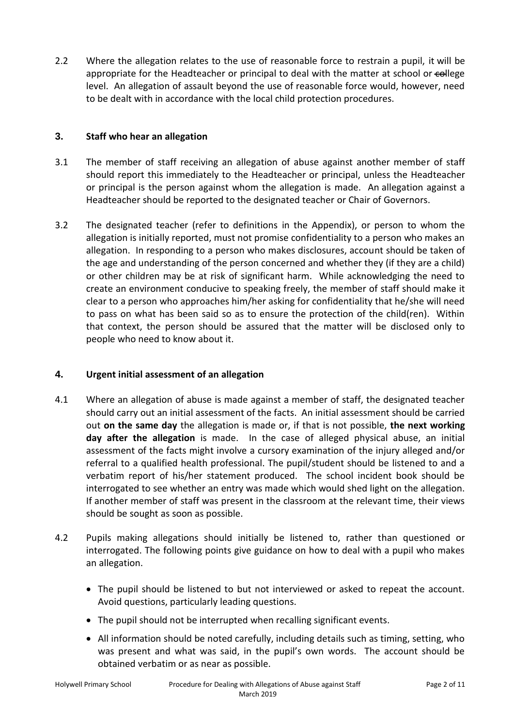2.2 Where the allegation relates to the use of reasonable force to restrain a pupil, it will be appropriate for the Headteacher or principal to deal with the matter at school or college level. An allegation of assault beyond the use of reasonable force would, however, need to be dealt with in accordance with the local child protection procedures.

#### **3. Staff who hear an allegation**

- 3.1 The member of staff receiving an allegation of abuse against another member of staff should report this immediately to the Headteacher or principal, unless the Headteacher or principal is the person against whom the allegation is made. An allegation against a Headteacher should be reported to the designated teacher or Chair of Governors.
- 3.2 The designated teacher (refer to definitions in the Appendix), or person to whom the allegation is initially reported, must not promise confidentiality to a person who makes an allegation. In responding to a person who makes disclosures, account should be taken of the age and understanding of the person concerned and whether they (if they are a child) or other children may be at risk of significant harm. While acknowledging the need to create an environment conducive to speaking freely, the member of staff should make it clear to a person who approaches him/her asking for confidentiality that he/she will need to pass on what has been said so as to ensure the protection of the child(ren). Within that context, the person should be assured that the matter will be disclosed only to people who need to know about it.

#### **4. Urgent initial assessment of an allegation**

- 4.1 Where an allegation of abuse is made against a member of staff, the designated teacher should carry out an initial assessment of the facts. An initial assessment should be carried out **on the same day** the allegation is made or, if that is not possible, **the next working day after the allegation** is made. In the case of alleged physical abuse, an initial assessment of the facts might involve a cursory examination of the injury alleged and/or referral to a qualified health professional. The pupil/student should be listened to and a verbatim report of his/her statement produced. The school incident book should be interrogated to see whether an entry was made which would shed light on the allegation. If another member of staff was present in the classroom at the relevant time, their views should be sought as soon as possible.
- 4.2 Pupils making allegations should initially be listened to, rather than questioned or interrogated. The following points give guidance on how to deal with a pupil who makes an allegation.
	- The pupil should be listened to but not interviewed or asked to repeat the account. Avoid questions, particularly leading questions.
	- The pupil should not be interrupted when recalling significant events.
	- All information should be noted carefully, including details such as timing, setting, who was present and what was said, in the pupil's own words. The account should be obtained verbatim or as near as possible.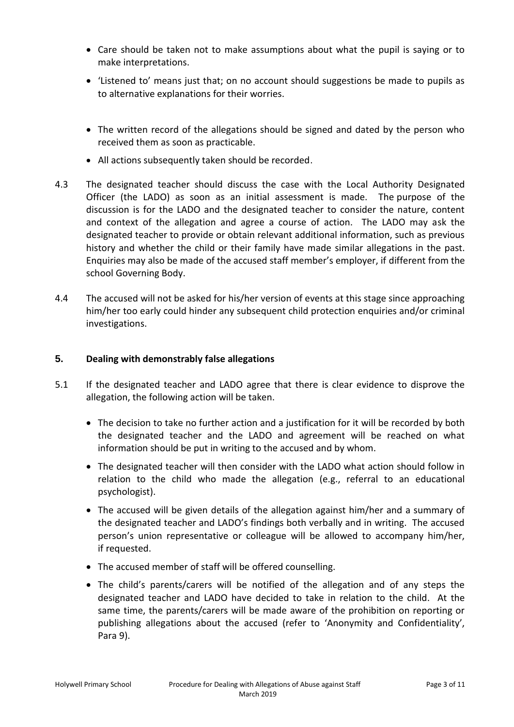- Care should be taken not to make assumptions about what the pupil is saying or to make interpretations.
- 'Listened to' means just that; on no account should suggestions be made to pupils as to alternative explanations for their worries.
- The written record of the allegations should be signed and dated by the person who received them as soon as practicable.
- All actions subsequently taken should be recorded.
- 4.3 The designated teacher should discuss the case with the Local Authority Designated Officer (the LADO) as soon as an initial assessment is made. The purpose of the discussion is for the LADO and the designated teacher to consider the nature, content and context of the allegation and agree a course of action. The LADO may ask the designated teacher to provide or obtain relevant additional information, such as previous history and whether the child or their family have made similar allegations in the past. Enquiries may also be made of the accused staff member's employer, if different from the school Governing Body.
- 4.4 The accused will not be asked for his/her version of events at this stage since approaching him/her too early could hinder any subsequent child protection enquiries and/or criminal investigations.

#### **5. Dealing with demonstrably false allegations**

- 5.1 If the designated teacher and LADO agree that there is clear evidence to disprove the allegation, the following action will be taken.
	- The decision to take no further action and a justification for it will be recorded by both the designated teacher and the LADO and agreement will be reached on what information should be put in writing to the accused and by whom.
	- The designated teacher will then consider with the LADO what action should follow in relation to the child who made the allegation (e.g., referral to an educational psychologist).
	- The accused will be given details of the allegation against him/her and a summary of the designated teacher and LADO's findings both verbally and in writing. The accused person's union representative or colleague will be allowed to accompany him/her, if requested.
	- The accused member of staff will be offered counselling.
	- The child's parents/carers will be notified of the allegation and of any steps the designated teacher and LADO have decided to take in relation to the child. At the same time, the parents/carers will be made aware of the prohibition on reporting or publishing allegations about the accused (refer to 'Anonymity and Confidentiality', Para 9).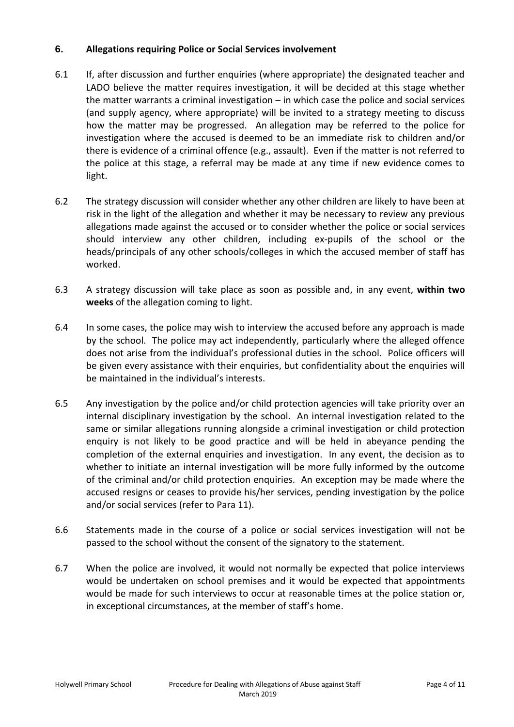#### **6. Allegations requiring Police or Social Services involvement**

- 6.1 If, after discussion and further enquiries (where appropriate) the designated teacher and LADO believe the matter requires investigation, it will be decided at this stage whether the matter warrants a criminal investigation – in which case the police and social services (and supply agency, where appropriate) will be invited to a strategy meeting to discuss how the matter may be progressed. An allegation may be referred to the police for investigation where the accused is deemed to be an immediate risk to children and/or there is evidence of a criminal offence (e.g., assault). Even if the matter is not referred to the police at this stage, a referral may be made at any time if new evidence comes to light.
- 6.2 The strategy discussion will consider whether any other children are likely to have been at risk in the light of the allegation and whether it may be necessary to review any previous allegations made against the accused or to consider whether the police or social services should interview any other children, including ex-pupils of the school or the heads/principals of any other schools/colleges in which the accused member of staff has worked.
- 6.3 A strategy discussion will take place as soon as possible and, in any event, **within two weeks** of the allegation coming to light.
- 6.4 In some cases, the police may wish to interview the accused before any approach is made by the school. The police may act independently, particularly where the alleged offence does not arise from the individual's professional duties in the school. Police officers will be given every assistance with their enquiries, but confidentiality about the enquiries will be maintained in the individual's interests.
- 6.5 Any investigation by the police and/or child protection agencies will take priority over an internal disciplinary investigation by the school. An internal investigation related to the same or similar allegations running alongside a criminal investigation or child protection enquiry is not likely to be good practice and will be held in abeyance pending the completion of the external enquiries and investigation. In any event, the decision as to whether to initiate an internal investigation will be more fully informed by the outcome of the criminal and/or child protection enquiries. An exception may be made where the accused resigns or ceases to provide his/her services, pending investigation by the police and/or social services (refer to Para 11).
- 6.6 Statements made in the course of a police or social services investigation will not be passed to the school without the consent of the signatory to the statement.
- 6.7 When the police are involved, it would not normally be expected that police interviews would be undertaken on school premises and it would be expected that appointments would be made for such interviews to occur at reasonable times at the police station or, in exceptional circumstances, at the member of staff's home.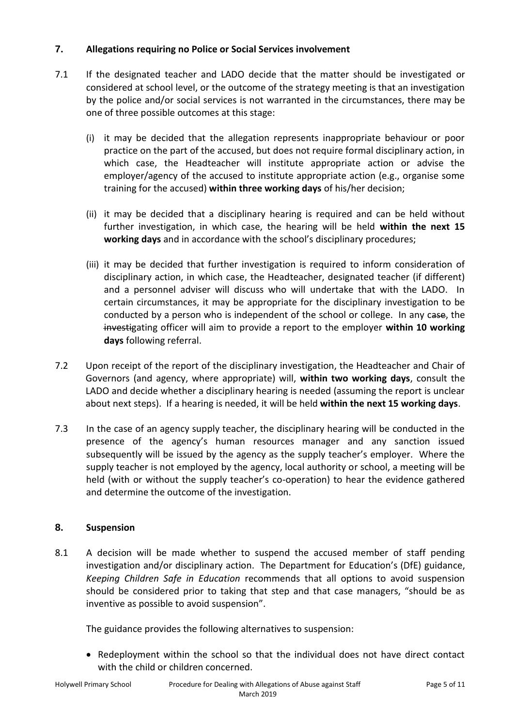#### **7. Allegations requiring no Police or Social Services involvement**

- 7.1 If the designated teacher and LADO decide that the matter should be investigated or considered at school level, or the outcome of the strategy meeting is that an investigation by the police and/or social services is not warranted in the circumstances, there may be one of three possible outcomes at this stage:
	- (i) it may be decided that the allegation represents inappropriate behaviour or poor practice on the part of the accused, but does not require formal disciplinary action, in which case, the Headteacher will institute appropriate action or advise the employer/agency of the accused to institute appropriate action (e.g., organise some training for the accused) **within three working days** of his/her decision;
	- (ii) it may be decided that a disciplinary hearing is required and can be held without further investigation, in which case, the hearing will be held **within the next 15 working days** and in accordance with the school's disciplinary procedures;
	- (iii) it may be decided that further investigation is required to inform consideration of disciplinary action, in which case, the Headteacher, designated teacher (if different) and a personnel adviser will discuss who will undertake that with the LADO. In certain circumstances, it may be appropriate for the disciplinary investigation to be conducted by a person who is independent of the school or college. In any case, the investigating officer will aim to provide a report to the employer **within 10 working days** following referral.
- 7.2 Upon receipt of the report of the disciplinary investigation, the Headteacher and Chair of Governors (and agency, where appropriate) will, **within two working days**, consult the LADO and decide whether a disciplinary hearing is needed (assuming the report is unclear about next steps). If a hearing is needed, it will be held **within the next 15 working days**.
- 7.3 In the case of an agency supply teacher, the disciplinary hearing will be conducted in the presence of the agency's human resources manager and any sanction issued subsequently will be issued by the agency as the supply teacher's employer. Where the supply teacher is not employed by the agency, local authority or school, a meeting will be held (with or without the supply teacher's co-operation) to hear the evidence gathered and determine the outcome of the investigation.

#### **8. Suspension**

8.1 A decision will be made whether to suspend the accused member of staff pending investigation and/or disciplinary action. The Department for Education's (DfE) guidance, *Keeping Children Safe in Education* recommends that all options to avoid suspension should be considered prior to taking that step and that case managers, "should be as inventive as possible to avoid suspension".

The guidance provides the following alternatives to suspension:

• Redeployment within the school so that the individual does not have direct contact with the child or children concerned.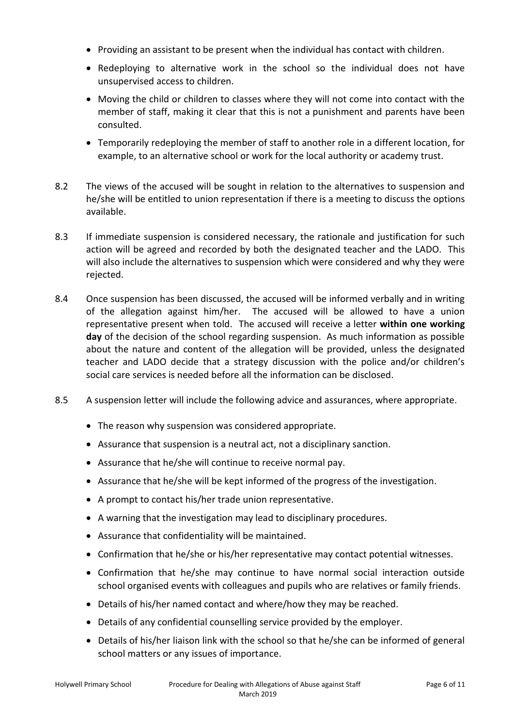- Providing an assistant to be present when the individual has contact with children.
- Redeploying to alternative work in the school so the individual does not have unsupervised access to children.
- Moving the child or children to classes where they will not come into contact with the member of staff, making it clear that this is not a punishment and parents have been consulted.
- Temporarily redeploying the member of staff to another role in a different location, for example, to an alternative school or work for the local authority or academy trust.
- 8.2 The views of the accused will be sought in relation to the alternatives to suspension and he/she will be entitled to union representation if there is a meeting to discuss the options available.
- 8.3 If immediate suspension is considered necessary, the rationale and justification for such action will be agreed and recorded by both the designated teacher and the LADO. This will also include the alternatives to suspension which were considered and why they were rejected.
- 8.4 Once suspension has been discussed, the accused will be informed verbally and in writing of the allegation against him/her. The accused will be allowed to have a union representative present when told. The accused will receive a letter **within one working day** of the decision of the school regarding suspension. As much information as possible about the nature and content of the allegation will be provided, unless the designated teacher and LADO decide that a strategy discussion with the police and/or children's social care services is needed before all the information can be disclosed.
- 8.5 A suspension letter will include the following advice and assurances, where appropriate.
	- The reason why suspension was considered appropriate.
	- Assurance that suspension is a neutral act, not a disciplinary sanction.
	- Assurance that he/she will continue to receive normal pay.
	- Assurance that he/she will be kept informed of the progress of the investigation.
	- A prompt to contact his/her trade union representative.
	- A warning that the investigation may lead to disciplinary procedures.
	- Assurance that confidentiality will be maintained.
	- Confirmation that he/she or his/her representative may contact potential witnesses.
	- Confirmation that he/she may continue to have normal social interaction outside school organised events with colleagues and pupils who are relatives or family friends.
	- Details of his/her named contact and where/how they may be reached.
	- Details of any confidential counselling service provided by the employer.
	- Details of his/her liaison link with the school so that he/she can be informed of general school matters or any issues of importance.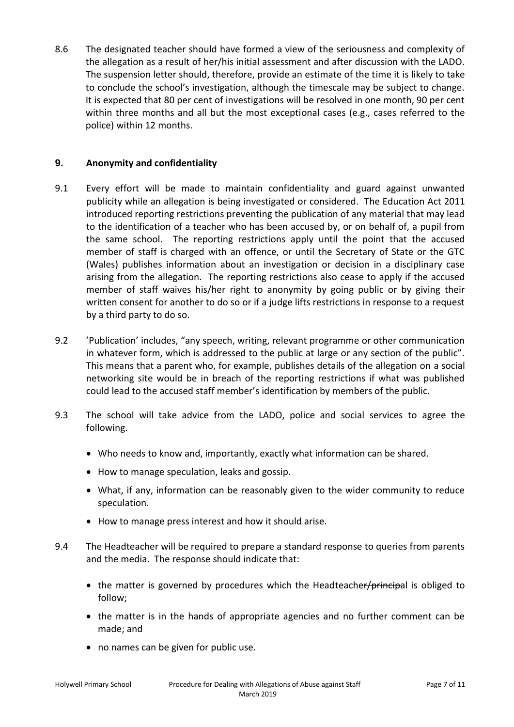8.6 The designated teacher should have formed a view of the seriousness and complexity of the allegation as a result of her/his initial assessment and after discussion with the LADO. The suspension letter should, therefore, provide an estimate of the time it is likely to take to conclude the school's investigation, although the timescale may be subject to change. It is expected that 80 per cent of investigations will be resolved in one month, 90 per cent within three months and all but the most exceptional cases (e.g., cases referred to the police) within 12 months.

#### **9. Anonymity and confidentiality**

- 9.1 Every effort will be made to maintain confidentiality and guard against unwanted publicity while an allegation is being investigated or considered. The Education Act 2011 introduced reporting restrictions preventing the publication of any material that may lead to the identification of a teacher who has been accused by, or on behalf of, a pupil from the same school. The reporting restrictions apply until the point that the accused member of staff is charged with an offence, or until the Secretary of State or the GTC (Wales) publishes information about an investigation or decision in a disciplinary case arising from the allegation. The reporting restrictions also cease to apply if the accused member of staff waives his/her right to anonymity by going public or by giving their written consent for another to do so or if a judge lifts restrictions in response to a request by a third party to do so.
- 9.2 'Publication' includes, "any speech, writing, relevant programme or other communication in whatever form, which is addressed to the public at large or any section of the public". This means that a parent who, for example, publishes details of the allegation on a social networking site would be in breach of the reporting restrictions if what was published could lead to the accused staff member's identification by members of the public.
- 9.3 The school will take advice from the LADO, police and social services to agree the following.
	- Who needs to know and, importantly, exactly what information can be shared.
	- How to manage speculation, leaks and gossip.
	- What, if any, information can be reasonably given to the wider community to reduce speculation.
	- How to manage press interest and how it should arise.
- 9.4 The Headteacher will be required to prepare a standard response to queries from parents and the media. The response should indicate that:
	- $\bullet$  the matter is governed by procedures which the Headteacher/principal is obliged to follow;
	- the matter is in the hands of appropriate agencies and no further comment can be made; and
	- no names can be given for public use.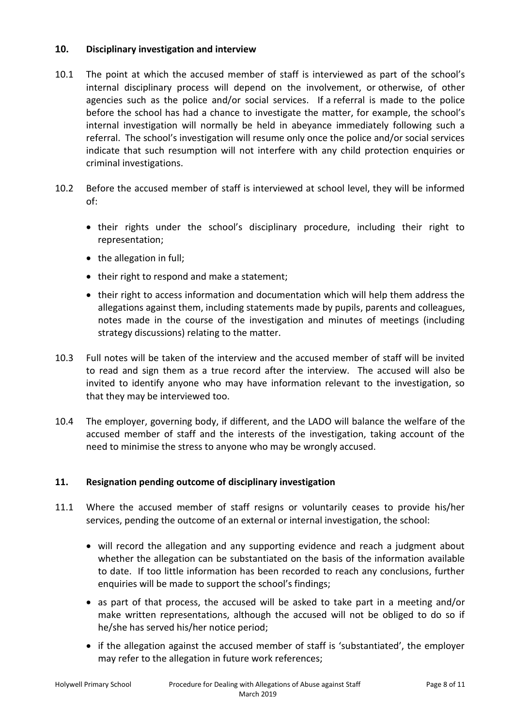#### **10. Disciplinary investigation and interview**

- 10.1 The point at which the accused member of staff is interviewed as part of the school's internal disciplinary process will depend on the involvement, or otherwise, of other agencies such as the police and/or social services. If a referral is made to the police before the school has had a chance to investigate the matter, for example, the school's internal investigation will normally be held in abeyance immediately following such a referral. The school's investigation will resume only once the police and/or social services indicate that such resumption will not interfere with any child protection enquiries or criminal investigations.
- 10.2 Before the accused member of staff is interviewed at school level, they will be informed of:
	- their rights under the school's disciplinary procedure, including their right to representation;
	- the allegation in full;
	- their right to respond and make a statement;
	- their right to access information and documentation which will help them address the allegations against them, including statements made by pupils, parents and colleagues, notes made in the course of the investigation and minutes of meetings (including strategy discussions) relating to the matter.
- 10.3 Full notes will be taken of the interview and the accused member of staff will be invited to read and sign them as a true record after the interview. The accused will also be invited to identify anyone who may have information relevant to the investigation, so that they may be interviewed too.
- 10.4 The employer, governing body, if different, and the LADO will balance the welfare of the accused member of staff and the interests of the investigation, taking account of the need to minimise the stress to anyone who may be wrongly accused.

#### **11. Resignation pending outcome of disciplinary investigation**

- 11.1 Where the accused member of staff resigns or voluntarily ceases to provide his/her services, pending the outcome of an external or internal investigation, the school:
	- will record the allegation and any supporting evidence and reach a judgment about whether the allegation can be substantiated on the basis of the information available to date. If too little information has been recorded to reach any conclusions, further enquiries will be made to support the school's findings;
	- as part of that process, the accused will be asked to take part in a meeting and/or make written representations, although the accused will not be obliged to do so if he/she has served his/her notice period;
	- if the allegation against the accused member of staff is 'substantiated', the employer may refer to the allegation in future work references;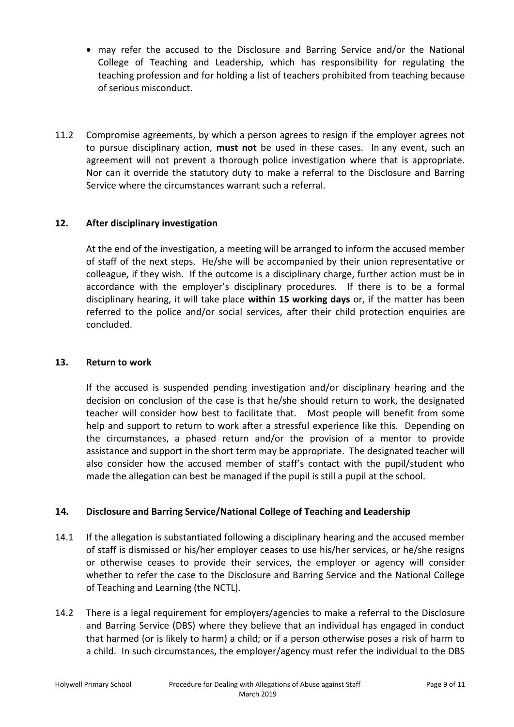- may refer the accused to the Disclosure and Barring Service and/or the National College of Teaching and Leadership, which has responsibility for regulating the teaching profession and for holding a list of teachers prohibited from teaching because of serious misconduct.
- 11.2 Compromise agreements, by which a person agrees to resign if the employer agrees not to pursue disciplinary action, **must not** be used in these cases. In any event, such an agreement will not prevent a thorough police investigation where that is appropriate. Nor can it override the statutory duty to make a referral to the Disclosure and Barring Service where the circumstances warrant such a referral.

#### **12. After disciplinary investigation**

At the end of the investigation, a meeting will be arranged to inform the accused member of staff of the next steps. He/she will be accompanied by their union representative or colleague, if they wish. If the outcome is a disciplinary charge, further action must be in accordance with the employer's disciplinary procedures. If there is to be a formal disciplinary hearing, it will take place **within 15 working days** or, if the matter has been referred to the police and/or social services, after their child protection enquiries are concluded.

#### **13. Return to work**

If the accused is suspended pending investigation and/or disciplinary hearing and the decision on conclusion of the case is that he/she should return to work, the designated teacher will consider how best to facilitate that. Most people will benefit from some help and support to return to work after a stressful experience like this. Depending on the circumstances, a phased return and/or the provision of a mentor to provide assistance and support in the short term may be appropriate. The designated teacher will also consider how the accused member of staff's contact with the pupil/student who made the allegation can best be managed if the pupil is still a pupil at the school.

#### **14. Disclosure and Barring Service/National College of Teaching and Leadership**

- 14.1 If the allegation is substantiated following a disciplinary hearing and the accused member of staff is dismissed or his/her employer ceases to use his/her services, or he/she resigns or otherwise ceases to provide their services, the employer or agency will consider whether to refer the case to the Disclosure and Barring Service and the National College of Teaching and Learning (the NCTL).
- 14.2 There is a legal requirement for employers/agencies to make a referral to the Disclosure and Barring Service (DBS) where they believe that an individual has engaged in conduct that harmed (or is likely to harm) a child; or if a person otherwise poses a risk of harm to a child. In such circumstances, the employer/agency must refer the individual to the DBS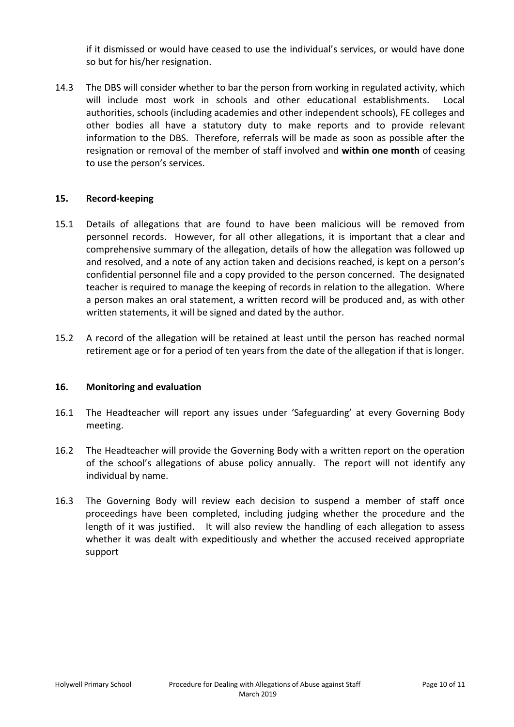if it dismissed or would have ceased to use the individual's services, or would have done so but for his/her resignation.

14.3 The DBS will consider whether to bar the person from working in regulated activity, which will include most work in schools and other educational establishments. Local authorities, schools (including academies and other independent schools), FE colleges and other bodies all have a statutory duty to make reports and to provide relevant information to the DBS. Therefore, referrals will be made as soon as possible after the resignation or removal of the member of staff involved and **within one month** of ceasing to use the person's services.

#### **15. Record-keeping**

- 15.1 Details of allegations that are found to have been malicious will be removed from personnel records. However, for all other allegations, it is important that a clear and comprehensive summary of the allegation, details of how the allegation was followed up and resolved, and a note of any action taken and decisions reached, is kept on a person's confidential personnel file and a copy provided to the person concerned. The designated teacher is required to manage the keeping of records in relation to the allegation. Where a person makes an oral statement, a written record will be produced and, as with other written statements, it will be signed and dated by the author.
- 15.2 A record of the allegation will be retained at least until the person has reached normal retirement age or for a period of ten years from the date of the allegation if that is longer.

#### **16. Monitoring and evaluation**

- 16.1 The Headteacher will report any issues under 'Safeguarding' at every Governing Body meeting.
- 16.2 The Headteacher will provide the Governing Body with a written report on the operation of the school's allegations of abuse policy annually. The report will not identify any individual by name.
- 16.3 The Governing Body will review each decision to suspend a member of staff once proceedings have been completed, including judging whether the procedure and the length of it was justified. It will also review the handling of each allegation to assess whether it was dealt with expeditiously and whether the accused received appropriate support